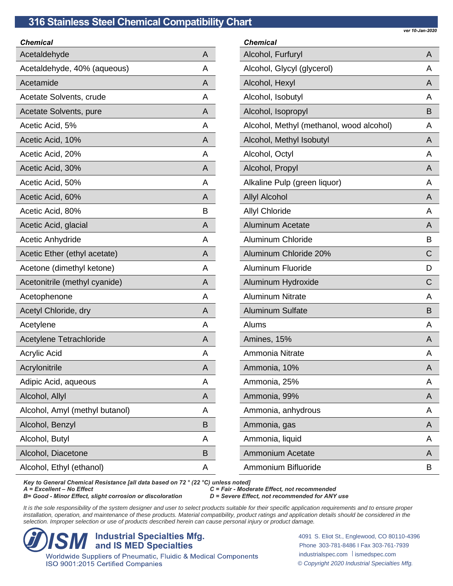| ver 10-Jan-2020 |  |
|-----------------|--|

| Chemical                       |   | Chem         |
|--------------------------------|---|--------------|
| Acetaldehyde                   | A | Alcoh        |
| Acetaldehyde, 40% (aqueous)    | A | Alcoh        |
| Acetamide                      | A | Alcoh        |
| Acetate Solvents, crude        | A | Alcoh        |
| Acetate Solvents, pure         | A | Alcoh        |
| Acetic Acid, 5%                | A | Alcoh        |
| Acetic Acid, 10%               | A | Alcoh        |
| Acetic Acid, 20%               | A | Alcoh        |
| Acetic Acid, 30%               | A | Alcoh        |
| Acetic Acid, 50%               | A | Alkali       |
| Acetic Acid, 60%               | A | Allyl A      |
| Acetic Acid, 80%               | в | Allyl (      |
| Acetic Acid, glacial           | A | Alumi        |
| <b>Acetic Anhydride</b>        | A | Alumi        |
| Acetic Ether (ethyl acetate)   | A | Alumi        |
| Acetone (dimethyl ketone)      | A | Alumi        |
| Acetonitrile (methyl cyanide)  | A | Alumi        |
| Acetophenone                   | A | Alumi        |
| Acetyl Chloride, dry           | A | Alumi        |
| Acetylene                      | A | <b>Alums</b> |
| Acetylene Tetrachloride        | A | <b>Amine</b> |
| <b>Acrylic Acid</b>            | A | Amm          |
| Acrylonitrile                  | A | Amm          |
| Adipic Acid, aqueous           | Α | Amm          |
| Alcohol, Allyl                 | A | Amm          |
| Alcohol, Amyl (methyl butanol) | Α | Amm          |
| Alcohol, Benzyl                | В | Amm          |
| Alcohol, Butyl                 | Α | Amm          |
| Alcohol, Diacetone             | B | Amm          |
| Alcohol, Ethyl (ethanol)       | A | Amm          |
|                                |   |              |

| <b>Chemical</b>                          |   |
|------------------------------------------|---|
| Alcohol, Furfuryl                        | A |
| Alcohol, Glycyl (glycerol)               | A |
| Alcohol, Hexyl                           | A |
| Alcohol, Isobutyl                        | A |
| Alcohol, Isopropyl                       | B |
| Alcohol, Methyl (methanol, wood alcohol) | A |
| Alcohol, Methyl Isobutyl                 | A |
| Alcohol, Octyl                           | A |
| Alcohol, Propyl                          | A |
| Alkaline Pulp (green liquor)             | A |
| <b>Allyl Alcohol</b>                     | A |
| <b>Allyl Chloride</b>                    | A |
| <b>Aluminum Acetate</b>                  | A |
| <b>Aluminum Chloride</b>                 | в |
| Aluminum Chloride 20%                    | С |
| <b>Aluminum Fluoride</b>                 | D |
| Aluminum Hydroxide                       | С |
| <b>Aluminum Nitrate</b>                  | A |
| <b>Aluminum Sulfate</b>                  | в |
| Alums                                    | A |
| Amines, 15%                              | A |
| Ammonia Nitrate                          | A |
| Ammonia, 10%                             | Α |
| Ammonia, 25%                             | A |
| Ammonia, 99%                             | A |
| Ammonia, anhydrous                       | A |
| Ammonia, gas                             | A |
| Ammonia, liquid                          | A |
| Ammonium Acetate                         | A |
| Ammonium Bifluoride                      | B |

*Key to General Chemical Resistance [all data based on 72 ° (22 °C) unless noted]*

*B*= Good - *Minor Effect, slight corrosion or discoloration* 

*A = Excellent – No Effect C = Fair - Moderate Effect, not recommended*

It is the sole responsibility of the system designer and user to select products suitable for their specific application requirements and to ensure proper installation, operation, and maintenance of these products. Material compatibility, product ratings and application details should be considered in the *selection. Improper selection or use of products described herein can cause personal injury or product damage.*

**ISM Industrial Specialties Mfg.**<br> **ISMED Specialties**<br> *Vorldwide Suppliers of Pneumatic, Fluidic & Medical Components* ISO 9001:2015 Certified Companies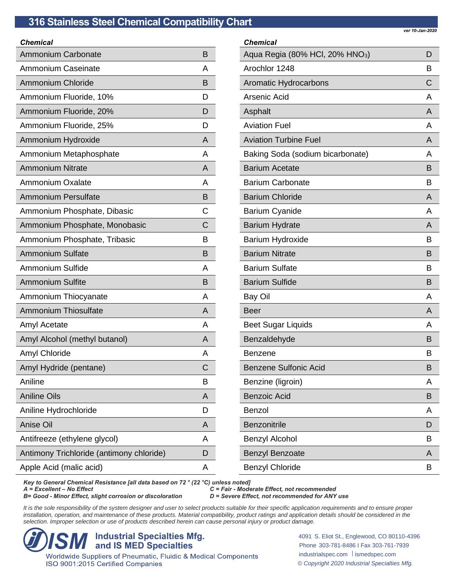| Chemical                                 |   |
|------------------------------------------|---|
| <b>Ammonium Carbonate</b>                | B |
| <b>Ammonium Caseinate</b>                | A |
| <b>Ammonium Chloride</b>                 | B |
| Ammonium Fluoride, 10%                   | D |
| Ammonium Fluoride, 20%                   | D |
| Ammonium Fluoride, 25%                   | D |
| Ammonium Hydroxide                       | A |
| Ammonium Metaphosphate                   | A |
| <b>Ammonium Nitrate</b>                  | A |
| Ammonium Oxalate                         | A |
| <b>Ammonium Persulfate</b>               | B |
| Ammonium Phosphate, Dibasic              | C |
| Ammonium Phosphate, Monobasic            | C |
| Ammonium Phosphate, Tribasic             | В |
| <b>Ammonium Sulfate</b>                  | B |
| <b>Ammonium Sulfide</b>                  | A |
| <b>Ammonium Sulfite</b>                  | B |
| Ammonium Thiocyanate                     | A |
| <b>Ammonium Thiosulfate</b>              | A |
| Amyl Acetate                             | A |
| Amyl Alcohol (methyl butanol)            | A |
| <b>Amyl Chloride</b>                     | A |
| Amyl Hydride (pentane)                   | С |
| Aniline                                  | В |
| <b>Aniline Oils</b>                      | A |
| Aniline Hydrochloride                    | D |
| Anise Oil                                | A |
| Antifreeze (ethylene glycol)             | Α |
| Antimony Trichloride (antimony chloride) | D |
| Apple Acid (malic acid)                  | A |

*Chemical* Aqua Regia (80% HCl, 20% HNO $_3$ ) D Arochlor 1248 B Aromatic Hydrocarbons COMEXARD CONTROL CONTROL CONTROL CONTROL CONTROL CONTROL CONTROL CONTROL CONTROL CONTROL CONTROL CONTROL CONTROL CONTROL CONTROL CONTROL CONTROL CONTROL CONTROL CONTROL CONTROL CONTROL CONTROL CONTROL Arsenic Acid Arsenic Acid Arsenic Acid Arsenic Acid Arsenic Acid Arsenic Arsenic A Asphalt Asphalt Asphalt Asphalt Asphalt Asphalt Asphalt Asphalt Asphalt Asphalt Asphalt Asphalt Asphalt Asphalt Asphalt Asphalt Asphalt Asphalt Asphalt Asphalt Asphalt Asphalt Asphalt Asphalt Asphalt Asphalt Asphalt Asphal Aviation Fuel **Automatic Accord Aviation** A Aviation Turbine Fuel **Automatic Executive Contract A** Baking Soda (sodium bicarbonate) A Barium Acetate **Barium Acetate** B Barium Carbonate **B** Barium Chloride And Albert Christian And Albert Christian And Albert Christian A Barium Cyanide A Barium Hydrate And American Control of American American American American American American American American Barium Hydroxide Barium B Barium Nitrate **Barium Nitrate** Barium Sulfate **Barium Sulfate** Barium Sulfide **Barium Sulfide** Barium B Bay Oil **A** Beer And American Secretary And American Secretary And American Secretary And American Secretary And American Beet Sugar Liquids A Benzaldehyde **Benzaldehyde** Benzaldehyde Benzene Benzene B Benzene Sulfonic Acid Benzene B Benzine (ligroin) and a set of the set of the set of the set of the set of the set of the set of the set of the set of the set of the set of the set of the set of the set of the set of the set of the set of the set of the Benzoic Acid **Benzoic Acid** Benzoic Acid **B** Benzol A Benzonitrile **D** Benzyl Alcohol Benzyl Andrew B Benzyl Benzoate Andrew A Benzyl Chloride Benzyl Chloride B

*Key to General Chemical Resistance [all data based on 72 ° (22 °C) unless noted]*

*B* = Good - *Minor Effect, slight corrosion or discoloration* 

*C* = Fair - Moderate Effect, not recommended<br>*D* = Severe Effect, not recommended for ANY use

It is the sole responsibility of the system designer and user to select products suitable for their specific application requirements and to ensure proper installation, operation, and maintenance of these products. Material compatibility, product ratings and application details should be considered in the *selection. Improper selection or use of products described herein can cause personal injury or product damage.*

**ISM Industrial Specialties Mfg.**<br> **ISMED Specialties**<br> *Vorldwide Suppliers of Pneumatic, Fluidic & Medical Components* ISO 9001:2015 Certified Companies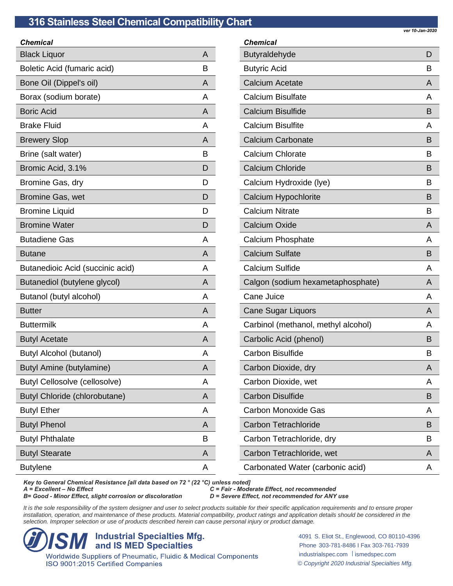| Chemical                             |   |
|--------------------------------------|---|
| <b>Black Liquor</b>                  | A |
| Boletic Acid (fumaric acid)          | B |
| Bone Oil (Dippel's oil)              | A |
| Borax (sodium borate)                | A |
| <b>Boric Acid</b>                    | A |
| <b>Brake Fluid</b>                   | A |
| <b>Brewery Slop</b>                  | A |
| Brine (salt water)                   | B |
| Bromic Acid, 3.1%                    | D |
| Bromine Gas, dry                     | D |
| <b>Bromine Gas, wet</b>              | D |
| <b>Bromine Liquid</b>                | D |
| <b>Bromine Water</b>                 | D |
| <b>Butadiene Gas</b>                 | A |
| <b>Butane</b>                        | A |
| Butanedioic Acid (succinic acid)     | A |
| Butanediol (butylene glycol)         | A |
| Butanol (butyl alcohol)              | A |
| <b>Butter</b>                        | A |
| <b>Buttermilk</b>                    | A |
| <b>Butyl Acetate</b>                 | A |
| <b>Butyl Alcohol (butanol)</b>       | A |
| Butyl Amine (butylamine)             | A |
| <b>Butyl Cellosolve (cellosolve)</b> | Α |
| <b>Butyl Chloride (chlorobutane)</b> | A |
| <b>Butyl Ether</b>                   | A |
| <b>Butyl Phenol</b>                  | A |
| <b>Butyl Phthalate</b>               | B |
| <b>Butyl Stearate</b>                | A |
| <b>Butylene</b>                      | A |
|                                      |   |

| <b>Chemical</b>                     |   |
|-------------------------------------|---|
| Butyraldehyde                       | D |
| <b>Butyric Acid</b>                 | в |
| <b>Calcium Acetate</b>              | A |
| <b>Calcium Bisulfate</b>            | А |
| <b>Calcium Bisulfide</b>            | в |
| <b>Calcium Bisulfite</b>            | A |
| <b>Calcium Carbonate</b>            | в |
| <b>Calcium Chlorate</b>             | в |
| <b>Calcium Chloride</b>             | в |
| Calcium Hydroxide (lye)             | в |
| Calcium Hypochlorite                | В |
| <b>Calcium Nitrate</b>              | в |
| <b>Calcium Oxide</b>                | A |
| Calcium Phosphate                   | A |
| <b>Calcium Sulfate</b>              | в |
| <b>Calcium Sulfide</b>              | A |
| Calgon (sodium hexametaphosphate)   | A |
| Cane Juice                          | А |
| <b>Cane Sugar Liquors</b>           | A |
| Carbinol (methanol, methyl alcohol) | А |
| Carbolic Acid (phenol)              | B |
| <b>Carbon Bisulfide</b>             | в |
| Carbon Dioxide, dry                 | Α |
| Carbon Dioxide, wet                 | A |
| <b>Carbon Disulfide</b>             | в |
| <b>Carbon Monoxide Gas</b>          | A |
| <b>Carbon Tetrachloride</b>         | в |
| Carbon Tetrachloride, dry           | B |
| Carbon Tetrachloride, wet           | Α |
| Carbonated Water (carbonic acid)    | Α |

*Key to General Chemical Resistance [all data based on 72 ° (22 °C) unless noted]*

*B*= Good - *Minor Effect, slight corrosion or discoloration* 

*A = Excellent – No Effect C = Fair - Moderate Effect, not recommended*

It is the sole responsibility of the system designer and user to select products suitable for their specific application requirements and to ensure proper installation, operation, and maintenance of these products. Material compatibility, product ratings and application details should be considered in the *selection. Improper selection or use of products described herein can cause personal injury or product damage.*

**ISM Industrial Specialties Mfg.**<br> **ISMED Specialties**<br> *Vorldwide Suppliers of Pneumatic, Fluidic & Medical Components* ISO 9001:2015 Certified Companies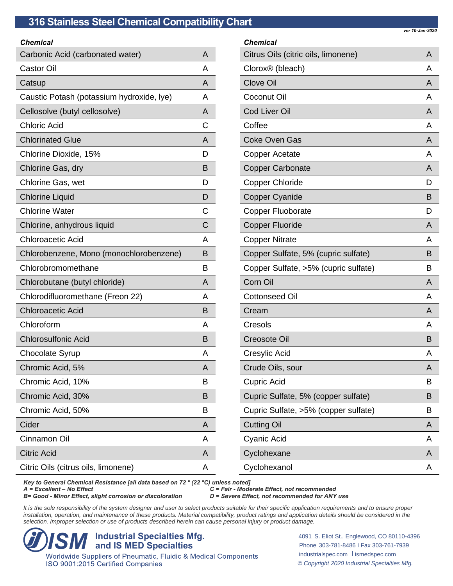| <b>Chemical</b>                           |   |
|-------------------------------------------|---|
| Carbonic Acid (carbonated water)          | A |
| <b>Castor Oil</b>                         | А |
| Catsup                                    | A |
| Caustic Potash (potassium hydroxide, lye) | A |
| Cellosolve (butyl cellosolve)             | A |
| <b>Chloric Acid</b>                       | С |
| <b>Chlorinated Glue</b>                   | A |
| Chlorine Dioxide, 15%                     | D |
| Chlorine Gas, dry                         | B |
| Chlorine Gas, wet                         | D |
| <b>Chlorine Liquid</b>                    | D |
| <b>Chlorine Water</b>                     | C |
| Chlorine, anhydrous liquid                | C |
| <b>Chloroacetic Acid</b>                  | А |
| Chlorobenzene, Mono (monochlorobenzene)   | B |
| Chlorobromomethane                        | В |
| Chlorobutane (butyl chloride)             | A |
| Chlorodifluoromethane (Freon 22)          | A |
| <b>Chloroacetic Acid</b>                  | B |
| Chloroform                                | A |
| <b>Chlorosulfonic Acid</b>                | в |
| Chocolate Syrup                           | А |
| Chromic Acid, 5%                          | A |
| Chromic Acid, 10%                         | в |
| Chromic Acid, 30%                         | в |
| Chromic Acid, 50%                         | в |
| Cider                                     | A |
| Cinnamon Oil                              | A |
| <b>Citric Acid</b>                        | A |
| Citric Oils (citrus oils, limonene)       | A |
|                                           |   |

# *Chemical* Citrus Oils (citric oils, limonene) A Clorox® (bleach) A Clove Oil **A** Coconut Oil A **Cod Liver Oil And All According to the Cod Liver Oil** Coffee A Coke Oven Gas Andrea Andrew A Copper Acetate And A Copper Carbonate And A Copper Chloride Design and Design Design Design Design Design Design Design Design Design Design Design Design D Copper Cyanide Based on the Based of Based on the Based of Based on the Based of Based of Based on the Based of Based of Based of Based of Based of Based of Based of Based of Based of Based of Based of Based of Based of Ba Copper Fluoborate Dental Dubble Dubble Dubble Dubble Dubble Dubble Dubble Dubble Dubble Dubble Dubble Dubble D Copper Fluoride **A** A Copper Nitrate And A Copper Sulfate, 5% (cupric sulfate) B Copper Sulfate, >5% (cupric sulfate) B **Corn Oil A** Cottonseed Oil **A** Cream A Cresols A Creosote Oil **B** Cresylic Acid And Accounts A A Crude Oils, sour A Cupric Acid B Cupric Sulfate, 5% (copper sulfate) B Cupric Sulfate, >5% (copper sulfate) B **Cutting Oil A** Cyanic Acid Andrew Accounts A A Cyclohexane And Accounts A Cyclohexanol **A**

*Key to General Chemical Resistance [all data based on 72 ° (22 °C) unless noted]*

*B*= Good - *Minor Effect, slight corrosion or discoloration* 

*C* = Fair - Moderate Effect, not recommended<br>*D* = Severe Effect, not recommended for ANY use

It is the sole responsibility of the system designer and user to select products suitable for their specific application requirements and to ensure proper installation, operation, and maintenance of these products. Material compatibility, product ratings and application details should be considered in the *selection. Improper selection or use of products described herein can cause personal injury or product damage.*

**ISM Industrial Specialties Mfg.**<br> **ISM and IS MED Specialties**<br> *Vorldwide Suppliers of Pneumatic, Fluidic & Medical Components* ISO 9001:2015 Certified Companies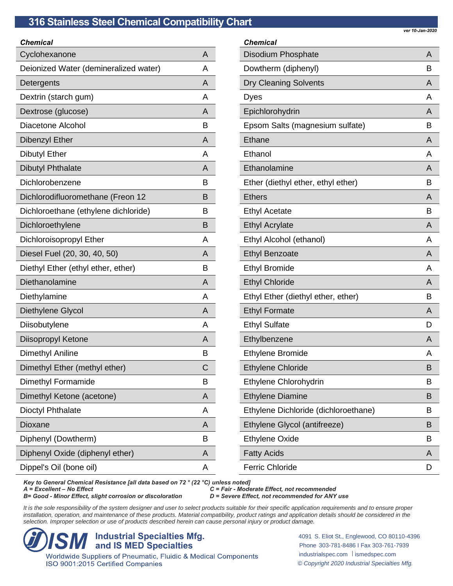| Chemical                              |   |
|---------------------------------------|---|
| Cyclohexanone                         | A |
| Deionized Water (demineralized water) | А |
| Detergents                            | А |
| Dextrin (starch gum)                  | A |
| Dextrose (glucose)                    | A |
| Diacetone Alcohol                     | в |
| <b>Dibenzyl Ether</b>                 | A |
| <b>Dibutyl Ether</b>                  | А |
| <b>Dibutyl Phthalate</b>              | A |
| Dichlorobenzene                       | в |
| Dichlorodifluoromethane (Freon 12     | B |
| Dichloroethane (ethylene dichloride)  | в |
| Dichloroethylene                      | B |
| Dichloroisopropyl Ether               | А |
| Diesel Fuel (20, 30, 40, 50)          | A |
| Diethyl Ether (ethyl ether, ether)    | в |
| Diethanolamine                        | A |
| Diethylamine                          | А |
| Diethylene Glycol                     | A |
| Diisobutylene                         | А |
| Diisopropyl Ketone                    | A |
| <b>Dimethyl Aniline</b>               | В |
| Dimethyl Ether (methyl ether)         | С |
| Dimethyl Formamide                    | В |
| Dimethyl Ketone (acetone)             | A |
| Dioctyl Phthalate                     | Α |
| Dioxane                               | A |
| Diphenyl (Dowtherm)                   | В |
| Diphenyl Oxide (diphenyl ether)       | A |
| Dippel's Oil (bone oil)               | A |
|                                       |   |

*Chemical* Disodium Phosphate And American Control of American And American American American American American American Dowtherm (diphenyl) B Dry Cleaning Solvents **A** Dyes And Albert And Albert And Albert And Albert And Albert And Albert And Albert And A Epichlorohydrin A Epsom Salts (magnesium sulfate) B Ethane A Ethanol A Ethanolamine A Ether (diethyl ether, ethyl ether) B Ethers And Allen and Allen and Allen and Allen and Allen and Allen and Allen and Allen and Allen and Allen and Ethyl Acetate **B** Ethyl Acrylate And Acrylate Acrylate Acrylate Acrylate Acrylate Acrylate Acrylate Acrylate Acrylate Acrylate A Ethyl Alcohol (ethanol) A Ethyl Benzoate A Ethyl Bromide And A Ethyl Chloride And American Changes A Ethyl Ether (diethyl ether, ether) B Ethyl Formate A Ethyl Sulfate D Ethylbenzene A Ethylene Bromide A Ethylene Chloride B Ethylene Chlorohydrin B Ethylene Diamine Brown and Brown Brown Brown Brown Brown Brown Brown Brown Brown Brown Brown Brown Brown Brown Brown Brown Brown Brown Brown Brown Brown Brown Brown Brown Brown Brown Brown Brown Brown Brown Brown Brown Bro Ethylene Dichloride (dichloroethane) B Ethylene Glycol (antifreeze) B Ethylene Oxide B Fatty Acids A Ferric Chloride **D** 

*Key to General Chemical Resistance [all data based on 72 ° (22 °C) unless noted]*

*B* = Good - *Minor Effect, slight corrosion or discoloration* 

*C* = Fair - Moderate Effect, not recommended<br>*D* = Severe Effect, not recommended for ANY use

It is the sole responsibility of the system designer and user to select products suitable for their specific application requirements and to ensure proper installation, operation, and maintenance of these products. Material compatibility, product ratings and application details should be considered in the *selection. Improper selection or use of products described herein can cause personal injury or product damage.*

**ISM Industrial Specialties Mfg.**<br> **ISM and IS MED Specialties**<br> *Vorldwide Suppliers of Pneumatic, Fluidic & Medical Components* ISO 9001:2015 Certified Companies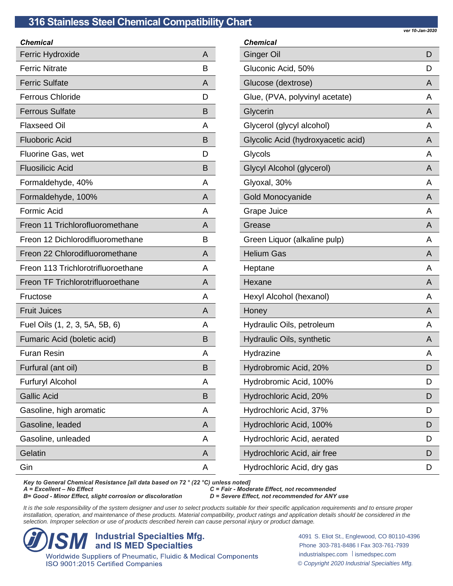| Chemical                           |   |
|------------------------------------|---|
| Ferric Hydroxide                   | A |
| <b>Ferric Nitrate</b>              | B |
| <b>Ferric Sulfate</b>              | A |
| <b>Ferrous Chloride</b>            | D |
| <b>Ferrous Sulfate</b>             | B |
| <b>Flaxseed Oil</b>                | A |
| <b>Fluoboric Acid</b>              | B |
| Fluorine Gas, wet                  | D |
| <b>Fluosilicic Acid</b>            | B |
| Formaldehyde, 40%                  | A |
| Formaldehyde, 100%                 | A |
| <b>Formic Acid</b>                 | A |
| Freon 11 Trichlorofluoromethane    | A |
| Freon 12 Dichlorodifluoromethane   | В |
| Freon 22 Chlorodifluoromethane     | A |
| Freon 113 Trichlorotrifluoroethane | A |
| Freon TF Trichlorotrifluoroethane  | A |
| Fructose                           | A |
| <b>Fruit Juices</b>                | A |
| Fuel Oils (1, 2, 3, 5A, 5B, 6)     | A |
| Fumaric Acid (boletic acid)        | B |
| <b>Furan Resin</b>                 | A |
| Furfural (ant oil)                 | B |
| <b>Furfuryl Alcohol</b>            | Α |
| <b>Gallic Acid</b>                 | В |
| Gasoline, high aromatic            | A |
| Gasoline, leaded                   | A |
| Gasoline, unleaded                 | Α |
| Gelatin                            | A |
| Gin                                | A |

| Chemical                           |   |
|------------------------------------|---|
| Ginger Oil                         | D |
| Gluconic Acid, 50%                 | D |
| Glucose (dextrose)                 | A |
| Glue, (PVA, polyvinyl acetate)     | A |
| Glycerin                           | A |
| Glycerol (glycyl alcohol)          | A |
| Glycolic Acid (hydroxyacetic acid) | A |
| Glycols                            | А |
| Glycyl Alcohol (glycerol)          | A |
| Glyoxal, 30%                       | A |
| Gold Monocyanide                   | A |
| Grape Juice                        | A |
| Grease                             | A |
| Green Liquor (alkaline pulp)       | A |
| <b>Helium Gas</b>                  | A |
| Heptane                            | A |
| Hexane                             | A |
| Hexyl Alcohol (hexanol)            | A |
| Honey                              | A |
| Hydraulic Oils, petroleum          | A |
| Hydraulic Oils, synthetic          | A |
| Hydrazine                          | A |
| Hydrobromic Acid, 20%              | D |
| Hydrobromic Acid, 100%             | D |
| Hydrochloric Acid, 20%             | D |
| Hydrochloric Acid, 37%             | D |
| Hydrochloric Acid, 100%            | D |
| Hydrochloric Acid, aerated         | D |
| Hydrochloric Acid, air free        | D |
| Hydrochloric Acid, dry gas         | D |

*Key to General Chemical Resistance [all data based on 72 ° (22 °C) unless noted]*

*B*= Good - *Minor Effect, slight corrosion or discoloration* 

*A = Excellent – No Effect C = Fair - Moderate Effect, not recommended*

It is the sole responsibility of the system designer and user to select products suitable for their specific application requirements and to ensure proper installation, operation, and maintenance of these products. Material compatibility, product ratings and application details should be considered in the *selection. Improper selection or use of products described herein can cause personal injury or product damage.*

**ISM Industrial Specialties Mfg.**<br> **ISMED Specialties**<br> *Vorldwide Suppliers of Pneumatic, Fluidic & Medical Components* ISO 9001:2015 Certified Companies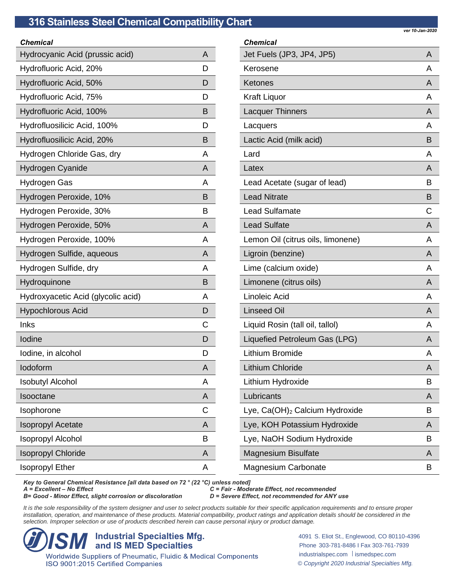| ver 10-Jan-2020 |  |
|-----------------|--|

| <b>Chemical</b>                    |   |
|------------------------------------|---|
| Hydrocyanic Acid (prussic acid)    | A |
| Hydrofluoric Acid, 20%             | D |
| Hydrofluoric Acid, 50%             | D |
| Hydrofluoric Acid, 75%             | D |
| Hydrofluoric Acid, 100%            | B |
| Hydrofluosilicic Acid, 100%        | D |
| Hydrofluosilicic Acid, 20%         | в |
| Hydrogen Chloride Gas, dry         | A |
| Hydrogen Cyanide                   | A |
| Hydrogen Gas                       | A |
| Hydrogen Peroxide, 10%             | B |
| Hydrogen Peroxide, 30%             | в |
| Hydrogen Peroxide, 50%             | A |
| Hydrogen Peroxide, 100%            | A |
| Hydrogen Sulfide, aqueous          | A |
| Hydrogen Sulfide, dry              | A |
| Hydroquinone                       | в |
| Hydroxyacetic Acid (glycolic acid) | A |
| <b>Hypochlorous Acid</b>           | D |
| Inks                               | С |
| Iodine                             | D |
| lodine, in alcohol                 | D |
| lodoform                           | A |
| <b>Isobutyl Alcohol</b>            | Α |
| Isooctane                          | A |
| Isophorone                         | C |
| <b>Isopropyl Acetate</b>           | A |
| Isopropyl Alcohol                  | в |
| <b>Isopropyl Chloride</b>          | A |
| <b>Isopropyl Ether</b>             | А |
|                                    |   |

| <b>Chemical</b>                            |   |
|--------------------------------------------|---|
| Jet Fuels (JP3, JP4, JP5)                  | A |
| Kerosene                                   | A |
| Ketones                                    | A |
| <b>Kraft Liquor</b>                        | A |
| <b>Lacquer Thinners</b>                    | A |
| Lacquers                                   | А |
| Lactic Acid (milk acid)                    | B |
| Lard                                       | A |
| Latex                                      | A |
| Lead Acetate (sugar of lead)               | В |
| <b>Lead Nitrate</b>                        | B |
| <b>Lead Sulfamate</b>                      | С |
| <b>Lead Sulfate</b>                        | A |
| Lemon Oil (citrus oils, limonene)          | A |
| Ligroin (benzine)                          | A |
| Lime (calcium oxide)                       | A |
| Limonene (citrus oils)                     | A |
| Linoleic Acid                              | A |
| <b>Linseed Oil</b>                         | A |
| Liquid Rosin (tall oil, tallol)            | A |
| Liquefied Petroleum Gas (LPG)              | A |
| Lithium Bromide                            | A |
| <b>Lithium Chloride</b>                    | A |
| Lithium Hydroxide                          | В |
| Lubricants                                 | A |
| Lye, Ca(OH) <sub>2</sub> Calcium Hydroxide | Β |
| Lye, KOH Potassium Hydroxide               | A |
| Lye, NaOH Sodium Hydroxide                 | в |
| <b>Magnesium Bisulfate</b>                 | A |
| <b>Magnesium Carbonate</b>                 | Β |

*Key to General Chemical Resistance [all data based on 72 ° (22 °C) unless noted]*

*A = Excellent – No Effect C = Fair - Moderate Effect, not recommended*

*B*= Good - *Minor Effect, slight corrosion or discoloration* 

It is the sole responsibility of the system designer and user to select products suitable for their specific application requirements and to ensure proper installation, operation, and maintenance of these products. Material compatibility, product ratings and application details should be considered in the *selection. Improper selection or use of products described herein can cause personal injury or product damage.*

**ISM Industrial Specialties Mfg.**<br> **ISMED Specialties**<br> *Vorldwide Suppliers of Pneumatic, Fluidic & Medical Components* ISO 9001:2015 Certified Companies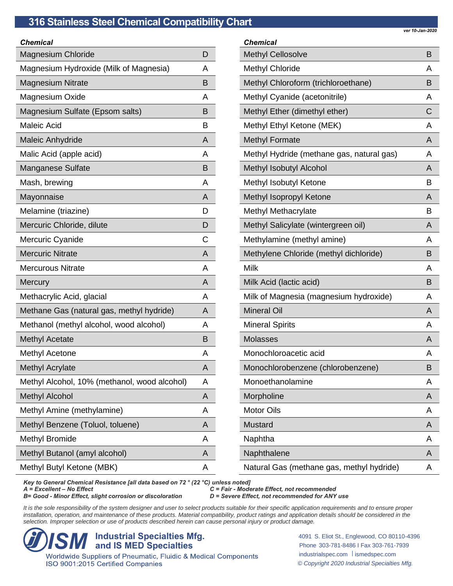| Chemical                                     |   |
|----------------------------------------------|---|
| <b>Magnesium Chloride</b>                    | D |
| Magnesium Hydroxide (Milk of Magnesia)       | A |
| <b>Magnesium Nitrate</b>                     | B |
| Magnesium Oxide                              | A |
| Magnesium Sulfate (Epsom salts)              | B |
| <b>Maleic Acid</b>                           | В |
| Maleic Anhydride                             | A |
| Malic Acid (apple acid)                      | А |
| <b>Manganese Sulfate</b>                     | B |
| Mash, brewing                                | A |
| Mayonnaise                                   | A |
| Melamine (triazine)                          | D |
| Mercuric Chloride, dilute                    | D |
| Mercuric Cyanide                             | С |
| <b>Mercuric Nitrate</b>                      | A |
| <b>Mercurous Nitrate</b>                     | A |
| <b>Mercury</b>                               | A |
| Methacrylic Acid, glacial                    | A |
| Methane Gas (natural gas, methyl hydride)    | A |
| Methanol (methyl alcohol, wood alcohol)      | A |
| <b>Methyl Acetate</b>                        | в |
| <b>Methyl Acetone</b>                        | А |
| <b>Methyl Acrylate</b>                       | A |
| Methyl Alcohol, 10% (methanol, wood alcohol) | Α |
| <b>Methyl Alcohol</b>                        | A |
| Methyl Amine (methylamine)                   | A |
| Methyl Benzene (Toluol, toluene)             | A |
| <b>Methyl Bromide</b>                        | А |
| Methyl Butanol (amyl alcohol)                | A |
| Methyl Butyl Ketone (MBK)                    | A |
|                                              |   |

*Chemical* Methyl Cellosolve Burns and Burns and Burns and Burns and Burns and Burns and Burns and Burns and Burns and Burns and Burns and Burns and Burns and Burns and Burns and Burns and Burns and Burns and Burns and Burns and Burn Methyl Chloride And A Methyl Chloroform (trichloroethane) B Methyl Cyanide (acetonitrile) A Methyl Ether (dimethyl ether) C Methyl Ethyl Ketone (MEK) Methyl Ethyl Ketone (MEK) Methyl Formate And A Methyl Hydride (methane gas, natural gas) A Methyl Isobutyl Alcohol **Alcohol** A Methyl Isobutyl Ketone B Methyl Isopropyl Ketone Andrew A Methyl Methacrylate B Methyl Salicylate (wintergreen oil) A Methylamine (methyl amine) Methylamine A Methylene Chloride (methyl dichloride) B Milk A Milk Acid (lactic acid) B Milk of Magnesia (magnesium hydroxide) A Mineral Oil **All According to the Contract Oil** A Mineral Spirits **A** Molasses Andrew Community A Monochloroacetic acid A Monochlorobenzene (chlorobenzene) B Monoethanolamine A Morpholine And According the According According According to the According According According According According According According According According According According According According According According Accord Motor Oils **A** Mustard Analysis and Analysis and Analysis and Analysis and Analysis and Analysis and Analysis and A Naphtha A Naphthalene Andrew A Natural Gas (methane gas, methyl hydride) A

*Key to General Chemical Resistance [all data based on 72 ° (22 °C) unless noted]*

*B*= Good - *Minor Effect, slight corrosion or discoloration* 

*C* = Fair - Moderate Effect, not recommended<br>*D* = Severe Effect, not recommended for ANY use

It is the sole responsibility of the system designer and user to select products suitable for their specific application requirements and to ensure proper installation, operation, and maintenance of these products. Material compatibility, product ratings and application details should be considered in the *selection. Improper selection or use of products described herein can cause personal injury or product damage.*

**ISM Industrial Specialties Mfg.**<br> **ISM and IS MED Specialties**<br> *Vorldwide Suppliers of Pneumatic, Fluidic & Medical Components* ISO 9001:2015 Certified Companies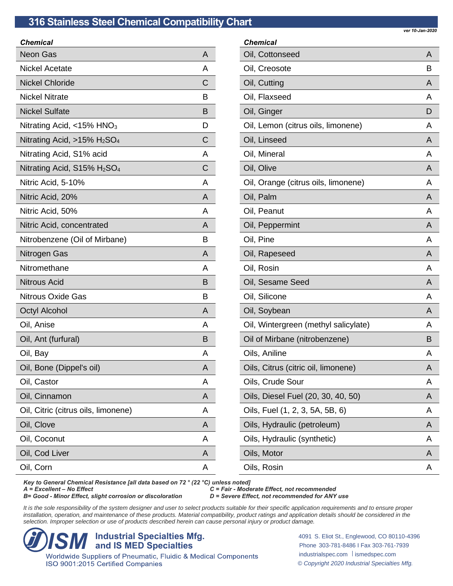| <b>Chemical</b>                                        |   |
|--------------------------------------------------------|---|
| <b>Neon Gas</b>                                        | A |
| <b>Nickel Acetate</b>                                  | A |
| <b>Nickel Chloride</b>                                 | C |
| <b>Nickel Nitrate</b>                                  | В |
| <b>Nickel Sulfate</b>                                  | B |
| Nitrating Acid, $<$ 15% HNO <sub>3</sub>               | D |
| Nitrating Acid, $>15\%$ H <sub>2</sub> SO <sub>4</sub> | C |
| Nitrating Acid, S1% acid                               | A |
| Nitrating Acid, $S15\%$ H <sub>2</sub> SO <sub>4</sub> | С |
| Nitric Acid, 5-10%                                     | A |
| Nitric Acid, 20%                                       | A |
| Nitric Acid, 50%                                       | A |
| Nitric Acid, concentrated                              | A |
| Nitrobenzene (Oil of Mirbane)                          | В |
| Nitrogen Gas                                           | A |
| Nitromethane                                           | A |
| <b>Nitrous Acid</b>                                    | B |
| <b>Nitrous Oxide Gas</b>                               | B |
| <b>Octyl Alcohol</b>                                   | A |
| Oil, Anise                                             | A |
| Oil, Ant (furfural)                                    | B |
| Oil, Bay                                               | A |
| Oil, Bone (Dippel's oil)                               | A |
| Oil, Castor                                            | A |
| Oil, Cinnamon                                          | A |
| Oil, Citric (citrus oils, limonene)                    | Α |
| Oil, Clove                                             | A |
| Oil, Coconut                                           | Α |
| Oil, Cod Liver                                         | A |
| Oil, Corn                                              | Α |

*Chemical* Oil, Cottonseed A Oil, Creosote Band and the Band and the Band and Band and Band and Band and Band and Band and Band and Band and B Oil, Cutting **A** Oil, Flaxseed And A Oil, Ginger Die Berger Die Berger Die Berger Die Berger Die Berger Die Berger Die Berger Die Berger Die Berger Oil, Lemon (citrus oils, limonene) A Oil, Linseed Andrea Andrea Andrea Andrea Andrea Andrea Andrea Andrea Andrea Andrea Andrea Andrea Andrea Andrea Oil, Mineral A Oil, Olive And All Contracts and All Contracts and All Contracts and All Contracts and All Contracts and All Contracts and All Contracts and All Contracts and All Contracts and All Contracts and All Contracts and All Contr Oil, Orange (citrus oils, limonene) A Oil, Palm A Oil, Peanut A Oil, Peppermint And All And All And All And All And All And All And All And All And All And All And All And Al Oil, Pine A Oil, Rapeseed Andrea Andrew Andrew Andrew Andrew Andrew Andrew Andrew Andrew Andrew Andrew Andrew Andrew Andrew A Oil, Rosin A Oil, Sesame Seed A Oil, Silicone A Oil, Soybean And Albert Controller And Albert Controller And Albert Controller And Albert Controller And Albert Controller And Albert Controller And Albert Controller And Albert Controller And Albert Controller And Albert Oil, Wintergreen (methyl salicylate) A Oil of Mirbane (nitrobenzene) B Oils, Aniline A Oils, Citrus (citric oil, limonene) A Oils, Crude Sour A Oils, Diesel Fuel (20, 30, 40, 50) A Oils, Fuel (1, 2, 3, 5A, 5B, 6) A Oils, Hydraulic (petroleum) A Oils, Hydraulic (synthetic) A Oils, Motor A Oils, Rosin A

*Key to General Chemical Resistance [all data based on 72 ° (22 °C) unless noted]*

*B*= Good - *Minor Effect, slight corrosion or discoloration* 

*C* = Fair - Moderate Effect, not recommended<br>*D* = Severe Effect, not recommended for ANY use

It is the sole responsibility of the system designer and user to select products suitable for their specific application requirements and to ensure proper installation, operation, and maintenance of these products. Material compatibility, product ratings and application details should be considered in the *selection. Improper selection or use of products described herein can cause personal injury or product damage.*

**ISM Industrial Specialties Mfg.**<br> **ISM and IS MED Specialties**<br> *Vorldwide Suppliers of Pneumatic, Fluidic & Medical Components* ISO 9001:2015 Certified Companies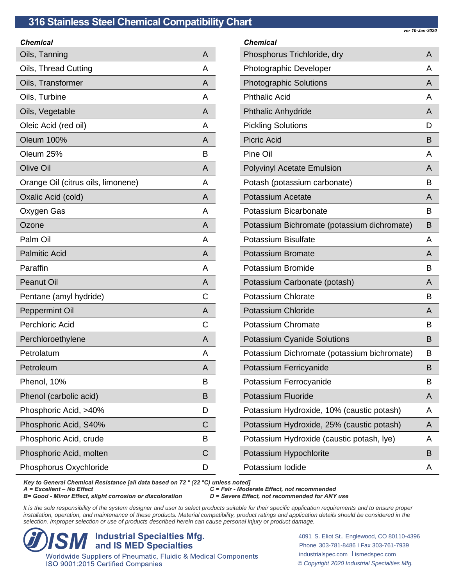| A |
|---|
| А |
| A |
| А |
| A |
| А |
| A |
| В |
| A |
| A |
| A |
| А |
| A |
| А |
| A |
| A |
| A |
| С |
| A |
| С |
| A |
| А |
| A |
| В |
| в |
| D |
| С |
| В |
| С |
| D |
|   |

| <b>Chemical</b>                             |   |
|---------------------------------------------|---|
| Phosphorus Trichloride, dry                 | A |
| <b>Photographic Developer</b>               | A |
| <b>Photographic Solutions</b>               | A |
| <b>Phthalic Acid</b>                        | A |
| <b>Phthalic Anhydride</b>                   | A |
| <b>Pickling Solutions</b>                   | D |
| <b>Picric Acid</b>                          | B |
| Pine Oil                                    | A |
| <b>Polyvinyl Acetate Emulsion</b>           | A |
| Potash (potassium carbonate)                | В |
| <b>Potassium Acetate</b>                    | A |
| Potassium Bicarbonate                       | В |
| Potassium Bichromate (potassium dichromate) | B |
| <b>Potassium Bisulfate</b>                  | A |
| <b>Potassium Bromate</b>                    | A |
| Potassium Bromide                           | B |
| Potassium Carbonate (potash)                | A |
| <b>Potassium Chlorate</b>                   | в |
| <b>Potassium Chloride</b>                   | A |
| Potassium Chromate                          | B |
| <b>Potassium Cyanide Solutions</b>          | B |
| Potassium Dichromate (potassium bichromate) | в |
| Potassium Ferricyanide                      | B |
| Potassium Ferrocyanide                      | В |
| <b>Potassium Fluoride</b>                   | A |
| Potassium Hydroxide, 10% (caustic potash)   | A |
| Potassium Hydroxide, 25% (caustic potash)   | A |
| Potassium Hydroxide (caustic potash, lye)   | A |
| Potassium Hypochlorite                      | В |
| Potassium lodide                            | Α |

*Key to General Chemical Resistance [all data based on 72 ° (22 °C) unless noted]*

*B*= Good - *Minor Effect, slight corrosion or discoloration* 

*A = Excellent – No Effect C = Fair - Moderate Effect, not recommended*

It is the sole responsibility of the system designer and user to select products suitable for their specific application requirements and to ensure proper installation, operation, and maintenance of these products. Material compatibility, product ratings and application details should be considered in the *selection. Improper selection or use of products described herein can cause personal injury or product damage.*

**ISM Industrial Specialties Mfg.**<br> **ISMED Specialties**<br> *Vorldwide Suppliers of Pneumatic, Fluidic & Medical Components* ISO 9001:2015 Certified Companies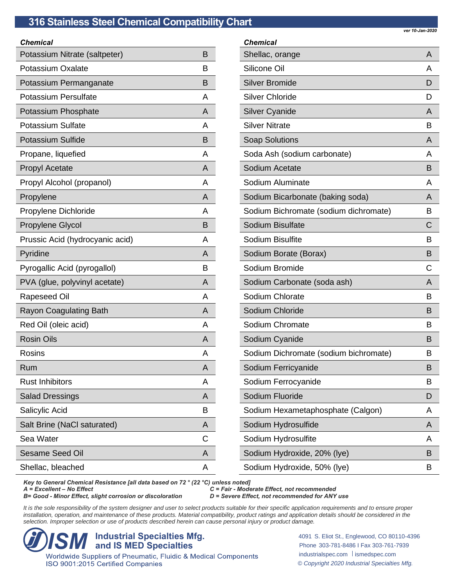| Chemical                        |   |
|---------------------------------|---|
| Potassium Nitrate (saltpeter)   | В |
| Potassium Oxalate               | B |
| Potassium Permanganate          | В |
| <b>Potassium Persulfate</b>     | A |
| Potassium Phosphate             | A |
| <b>Potassium Sulfate</b>        | A |
| <b>Potassium Sulfide</b>        | B |
| Propane, liquefied              | A |
| <b>Propyl Acetate</b>           | A |
| Propyl Alcohol (propanol)       | A |
| Propylene                       | A |
| Propylene Dichloride            | A |
| Propylene Glycol                | B |
| Prussic Acid (hydrocyanic acid) | A |
| Pyridine                        | A |
| Pyrogallic Acid (pyrogallol)    | В |
| PVA (glue, polyvinyl acetate)   | A |
| <b>Rapeseed Oil</b>             | A |
| <b>Rayon Coagulating Bath</b>   | A |
| Red Oil (oleic acid)            | A |
| <b>Rosin Oils</b>               | A |
| <b>Rosins</b>                   | A |
| Rum                             | A |
| <b>Rust Inhibitors</b>          | Α |
| <b>Salad Dressings</b>          | A |
| Salicylic Acid                  | B |
| Salt Brine (NaCl saturated)     | A |
| Sea Water                       | С |
| <b>Sesame Seed Oil</b>          | A |
| Shellac, bleached               | A |

| <b>Chemical</b>                       |   |
|---------------------------------------|---|
| Shellac, orange                       | A |
| Silicone Oil                          | А |
| <b>Silver Bromide</b>                 | D |
| <b>Silver Chloride</b>                | D |
| <b>Silver Cyanide</b>                 | A |
| <b>Silver Nitrate</b>                 | в |
| <b>Soap Solutions</b>                 | A |
| Soda Ash (sodium carbonate)           | A |
| Sodium Acetate                        | В |
| Sodium Aluminate                      | A |
| Sodium Bicarbonate (baking soda)      | A |
| Sodium Bichromate (sodium dichromate) | в |
| Sodium Bisulfate                      | C |
| Sodium Bisulfite                      | в |
| Sodium Borate (Borax)                 | B |
| Sodium Bromide                        | C |
| Sodium Carbonate (soda ash)           | A |
| Sodium Chlorate                       | В |
| Sodium Chloride                       | В |
| Sodium Chromate                       | в |
| Sodium Cyanide                        | B |
| Sodium Dichromate (sodium bichromate) | в |
| Sodium Ferricyanide                   | в |
| Sodium Ferrocyanide                   | в |
| Sodium Fluoride                       | D |
| Sodium Hexametaphosphate (Calgon)     | Α |
| Sodium Hydrosulfide                   | A |
| Sodium Hydrosulfite                   | A |
| Sodium Hydroxide, 20% (lye)           | B |
| Sodium Hydroxide, 50% (lye)           | В |

*Key to General Chemical Resistance [all data based on 72 ° (22 °C) unless noted]*

*B*= Good - *Minor Effect, slight corrosion or discoloration* 

*A = Excellent – No Effect C = Fair - Moderate Effect, not recommended*

It is the sole responsibility of the system designer and user to select products suitable for their specific application requirements and to ensure proper installation, operation, and maintenance of these products. Material compatibility, product ratings and application details should be considered in the *selection. Improper selection or use of products described herein can cause personal injury or product damage.*

**ISM Industrial Specialties Mfg.**<br> **ISMED Specialties**<br> *Vorldwide Suppliers of Pneumatic, Fluidic & Medical Components* ISO 9001:2015 Certified Companies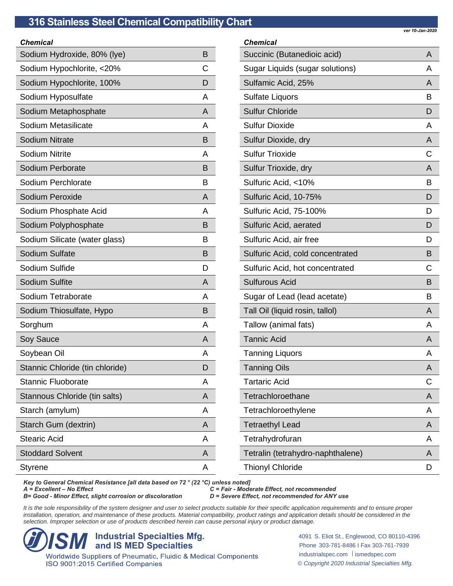| ver 10-Jan-2020 |  |
|-----------------|--|

| <b>Chemical</b>                 |   |
|---------------------------------|---|
| Sodium Hydroxide, 80% (lye)     | B |
| Sodium Hypochlorite, <20%       | С |
| Sodium Hypochlorite, 100%       | D |
| Sodium Hyposulfate              | A |
| Sodium Metaphosphate            | A |
| Sodium Metasilicate             | А |
| <b>Sodium Nitrate</b>           | В |
| <b>Sodium Nitrite</b>           | А |
| Sodium Perborate                | B |
| Sodium Perchlorate              | в |
| Sodium Peroxide                 | A |
| Sodium Phosphate Acid           | A |
| Sodium Polyphosphate            | B |
| Sodium Silicate (water glass)   | в |
| Sodium Sulfate                  | B |
| Sodium Sulfide                  | D |
| Sodium Sulfite                  | A |
| Sodium Tetraborate              | Α |
| Sodium Thiosulfate, Hypo        | В |
| Sorghum                         | A |
| Soy Sauce                       | A |
| Soybean Oil                     | А |
| Stannic Chloride (tin chloride) | D |
| <b>Stannic Fluoborate</b>       | Α |
| Stannous Chloride (tin salts)   | A |
| Starch (amylum)                 | A |
| Starch Gum (dextrin)            | A |
| <b>Stearic Acid</b>             | A |
| <b>Stoddard Solvent</b>         | A |
| Styrene                         | Α |

| <b>Chemical</b>                   |   |
|-----------------------------------|---|
| Succinic (Butanedioic acid)       | A |
| Sugar Liquids (sugar solutions)   | A |
| Sulfamic Acid, 25%                | A |
| <b>Sulfate Liquors</b>            | в |
| <b>Sulfur Chloride</b>            | D |
| <b>Sulfur Dioxide</b>             | A |
| Sulfur Dioxide, dry               | A |
| <b>Sulfur Trioxide</b>            | С |
| Sulfur Trioxide, dry              | A |
| Sulfuric Acid, <10%               | в |
| Sulfuric Acid, 10-75%             | D |
| Sulfuric Acid, 75-100%            | D |
| Sulfuric Acid, aerated            | D |
| Sulfuric Acid, air free           | D |
| Sulfuric Acid, cold concentrated  | B |
| Sulfuric Acid, hot concentrated   | С |
| <b>Sulfurous Acid</b>             | В |
| Sugar of Lead (lead acetate)      | В |
| Tall Oil (liquid rosin, tallol)   | A |
| Tallow (animal fats)              | A |
| <b>Tannic Acid</b>                | A |
| <b>Tanning Liquors</b>            | A |
| <b>Tanning Oils</b>               | Α |
| <b>Tartaric Acid</b>              | С |
| Tetrachloroethane                 | A |
| Tetrachloroethylene               | A |
| <b>Tetraethyl Lead</b>            | A |
| Tetrahydrofuran                   | A |
| Tetralin (tetrahydro-naphthalene) | A |
| <b>Thionyl Chloride</b>           | D |

*Key to General Chemical Resistance [all data based on 72 ° (22 °C) unless noted]*

*B*= Good - *Minor Effect, slight corrosion or discoloration* 

*A = Excellent – No Effect C = Fair - Moderate Effect, not recommended*

It is the sole responsibility of the system designer and user to select products suitable for their specific application requirements and to ensure proper installation, operation, and maintenance of these products. Material compatibility, product ratings and application details should be considered in the *selection. Improper selection or use of products described herein can cause personal injury or product damage.*

**ISM Industrial Specialties Mfg.**<br> **ISMED Specialties**<br> *Vorldwide Suppliers of Pneumatic, Fluidic & Medical Components* ISO 9001:2015 Certified Companies